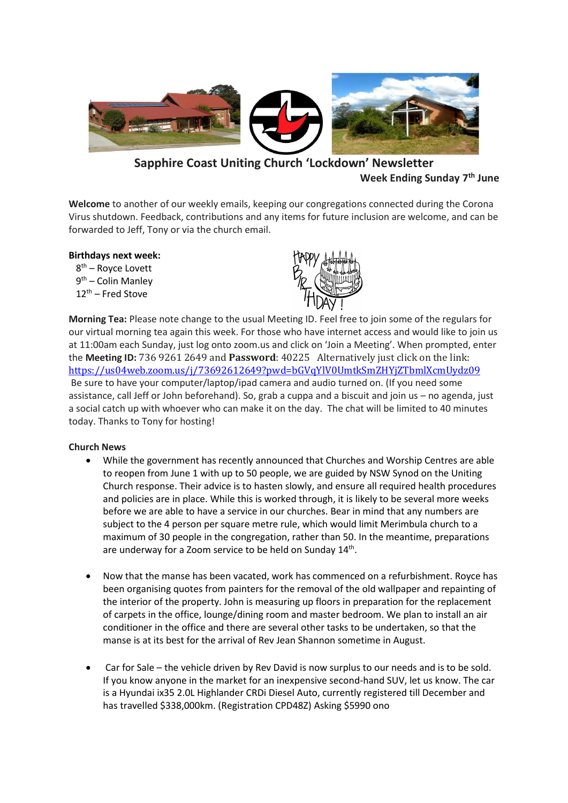

# **Sapphire Coast Uniting Church 'Lockdown' Newsletter Week Ending Sunday 7 th June**

**Welcome** to another of our weekly emails, keeping our congregations connected during the Corona Virus shutdown. Feedback, contributions and any items for future inclusion are welcome, and can be forwarded to Jeff, Tony or via the church email.

# **Birthdays next week:**

8 th – Royce Lovett 9<sup>th</sup> – Colin Manley  $12<sup>th</sup>$  – Fred Stove



**Morning Tea:** Please note change to the usual Meeting ID. Feel free to join some of the regulars for our virtual morning tea again this week. For those who have internet access and would like to join us at 11:00am each Sunday, just log onto zoom.us and click on 'Join a Meeting'. When prompted, enter the **Meeting ID:** 736 9261 2649 and **Password**: 40225 Alternatively just click on the link: <https://us04web.zoom.us/j/73692612649?pwd=bGVqYlV0UmtkSmZHYjZTbmlXcmUydz09> Be sure to have your computer/laptop/ipad camera and audio turned on. (If you need some assistance, call Jeff or John beforehand). So, grab a cuppa and a biscuit and join us – no agenda, just a social catch up with whoever who can make it on the day. The chat will be limited to 40 minutes today. Thanks to Tony for hosting!

# **Church News**

- While the government has recently announced that Churches and Worship Centres are able to reopen from June 1 with up to 50 people, we are guided by NSW Synod on the Uniting Church response. Their advice is to hasten slowly, and ensure all required health procedures and policies are in place. While this is worked through, it is likely to be several more weeks before we are able to have a service in our churches. Bear in mind that any numbers are subject to the 4 person per square metre rule, which would limit Merimbula church to a maximum of 30 people in the congregation, rather than 50. In the meantime, preparations are underway for a Zoom service to be held on Sunday 14<sup>th</sup>.
- Now that the manse has been vacated, work has commenced on a refurbishment. Royce has been organising quotes from painters for the removal of the old wallpaper and repainting of the interior of the property. John is measuring up floors in preparation for the replacement of carpets in the office, lounge/dining room and master bedroom. We plan to install an air conditioner in the office and there are several other tasks to be undertaken, so that the manse is at its best for the arrival of Rev Jean Shannon sometime in August.
- Car for Sale the vehicle driven by Rev David is now surplus to our needs and is to be sold. If you know anyone in the market for an inexpensive second-hand SUV, let us know. The car is a Hyundai ix35 2.0L Highlander CRDi Diesel Auto, currently registered till December and has travelled \$338,000km. (Registration CPD48Z) Asking \$5990 ono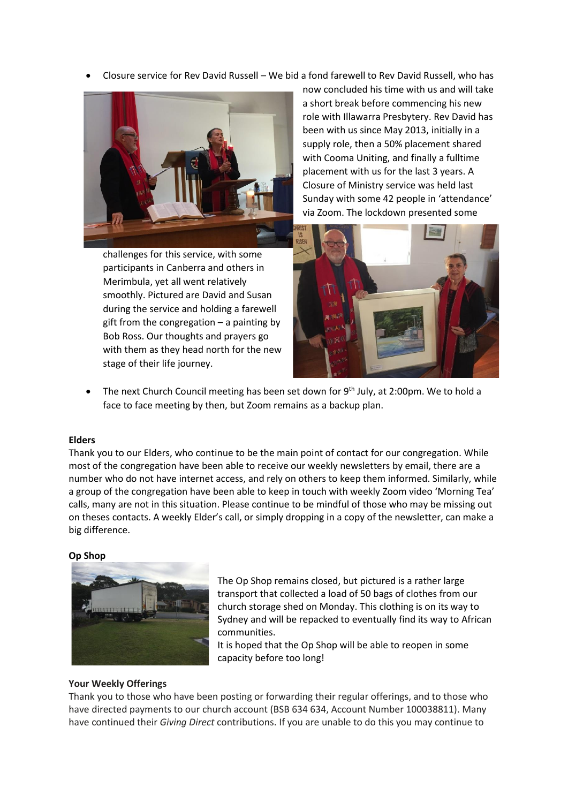• Closure service for Rev David Russell – We bid a fond farewell to Rev David Russell, who has



now concluded his time with us and will take a short break before commencing his new role with Illawarra Presbytery. Rev David has been with us since May 2013, initially in a supply role, then a 50% placement shared with Cooma Uniting, and finally a fulltime placement with us for the last 3 years. A Closure of Ministry service was held last Sunday with some 42 people in 'attendance' via Zoom. The lockdown presented some

challenges for this service, with some participants in Canberra and others in Merimbula, yet all went relatively smoothly. Pictured are David and Susan during the service and holding a farewell gift from the congregation – a painting by Bob Ross. Our thoughts and prayers go with them as they head north for the new stage of their life journey.



The next Church Council meeting has been set down for 9<sup>th</sup> July, at 2:00pm. We to hold a face to face meeting by then, but Zoom remains as a backup plan.

#### **Elders**

Thank you to our Elders, who continue to be the main point of contact for our congregation. While most of the congregation have been able to receive our weekly newsletters by email, there are a number who do not have internet access, and rely on others to keep them informed. Similarly, while a group of the congregation have been able to keep in touch with weekly Zoom video 'Morning Tea' calls, many are not in this situation. Please continue to be mindful of those who may be missing out on theses contacts. A weekly Elder's call, or simply dropping in a copy of the newsletter, can make a big difference.

#### **Op Shop**



The Op Shop remains closed, but pictured is a rather large transport that collected a load of 50 bags of clothes from our church storage shed on Monday. This clothing is on its way to Sydney and will be repacked to eventually find its way to African communities.

It is hoped that the Op Shop will be able to reopen in some capacity before too long!

#### **Your Weekly Offerings**

Thank you to those who have been posting or forwarding their regular offerings, and to those who have directed payments to our church account (BSB 634 634, Account Number 100038811). Many have continued their *Giving Direct* contributions. If you are unable to do this you may continue to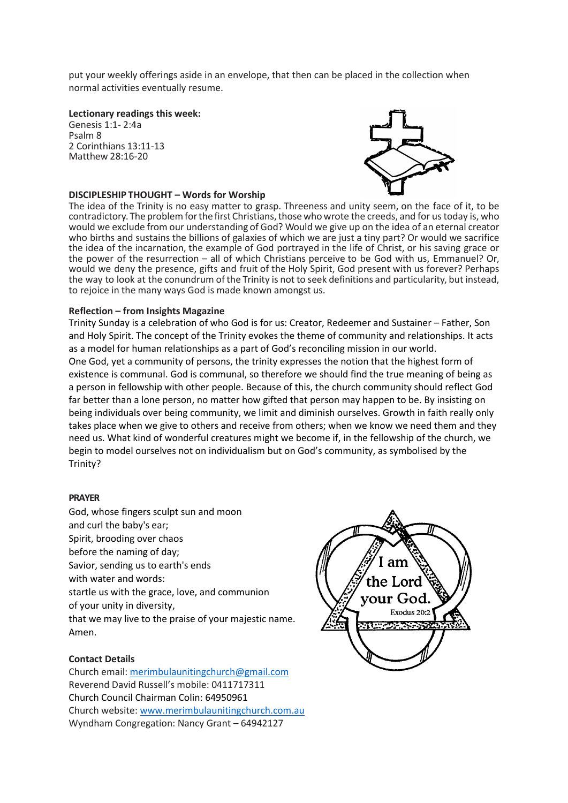put your weekly offerings aside in an envelope, that then can be placed in the collection when normal activities eventually resume.

**Lectionary readings this week:**

Genesis 1:1- 2:4a Psalm 8 2 Corinthians 13:11-13 Matthew 28:16-20



## **DISCIPLESHIP THOUGHT – Words for Worship**

The idea of the Trinity is no easy matter to grasp. Threeness and unity seem, on the face of it, to be contradictory. The problem for the first Christians, those who wrote the creeds, and for us today is, who would we exclude from our understanding of God? Would we give up on the idea of an eternal creator who births and sustains the billions of galaxies of which we are just a tiny part? Or would we sacrifice the idea of the incarnation, the example of God portrayed in the life of Christ, or his saving grace or the power of the resurrection – all of which Christians perceive to be God with us, Emmanuel? Or, would we deny the presence, gifts and fruit of the Holy Spirit, God present with us forever? Perhaps the way to look at the conundrum of the Trinity is not to seek definitions and particularity, but instead, to rejoice in the many ways God is made known amongst us.

### **Reflection – from Insights Magazine**

Trinity Sunday is a celebration of who God is for us: Creator, Redeemer and Sustainer – Father, Son and Holy Spirit. The concept of the Trinity evokes the theme of community and relationships. It acts as a model for human relationships as a part of God's reconciling mission in our world. One God, yet a community of persons, the trinity expresses the notion that the highest form of existence is communal. God is communal, so therefore we should find the true meaning of being as a person in fellowship with other people. Because of this, the church community should reflect God far better than a lone person, no matter how gifted that person may happen to be. By insisting on being individuals over being community, we limit and diminish ourselves. Growth in faith really only takes place when we give to others and receive from others; when we know we need them and they need us. What kind of wonderful creatures might we become if, in the fellowship of the church, we begin to model ourselves not on individualism but on God's community, as symbolised by the Trinity?

#### **PRAYER**

God, whose fingers sculpt sun and moon and curl the baby's ear; Spirit, brooding over chaos before the naming of day; Savior, sending us to earth's ends with water and words: startle us with the grace, love, and communion of your unity in diversity, that we may live to the praise of your majestic name. Amen.

# **Contact Details**

Church email: [merimbulaunitingchurch@gmail.com](mailto:merimbulaunitingchurch@gmail.com) Reverend David Russell's mobile: 0411717311 Church Council Chairman Colin: 64950961 Church website[: www.merimbulaunitingchurch.com.au](http://www.merimbulaunitingchurch.com.au/) Wyndham Congregation: Nancy Grant – 64942127